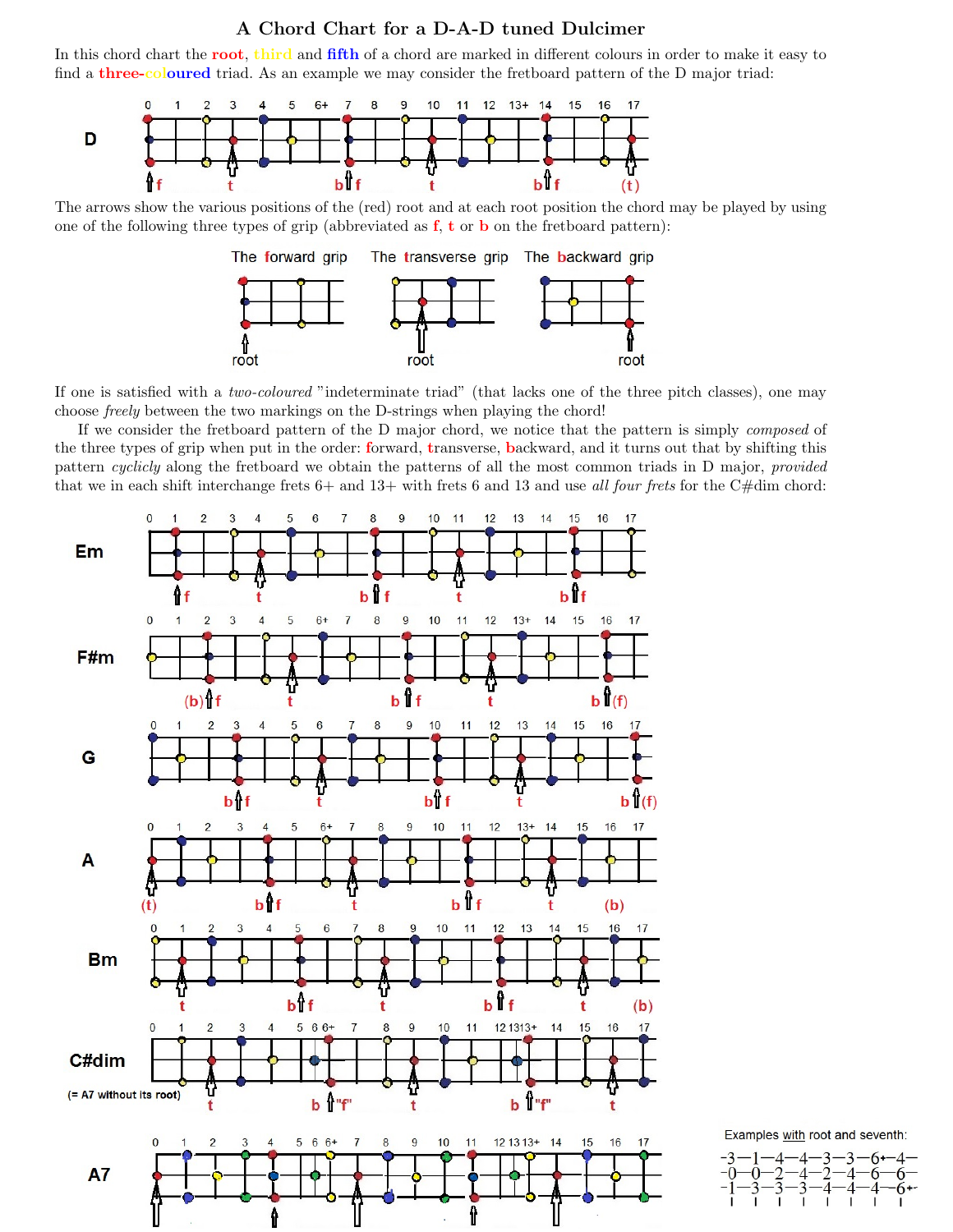## A Chord Chart for a D-A-D tuned Dulcimer

In this chord chart the root, third and fifth of a chord are marked in different colours in order to make it easy to find a **three-coloured** triad. As an example we may consider the fretboard pattern of the D major triad:



The arrows show the various positions of the (red) root and at each root position the chord may be played by using one of the following three types of grip (abbreviated as  $f$ ,  $t$  or  $b$  on the fretboard pattern):



If one is satisfied with a two-coloured "indeterminate triad" (that lacks one of the three pitch classes), one may choose freely between the two markings on the D-strings when playing the chord!

If we consider the fretboard pattern of the D major chord, we notice that the pattern is simply composed of the three types of grip when put in the order: forward, transverse, backward, and it turns out that by shifting this pattern cyclicly along the fretboard we obtain the patterns of all the most common triads in D major, provided that we in each shift interchange frets  $6+$  and  $13+$  with frets 6 and 13 and use all four frets for the C#dim chord:



Examples with root and seventh: